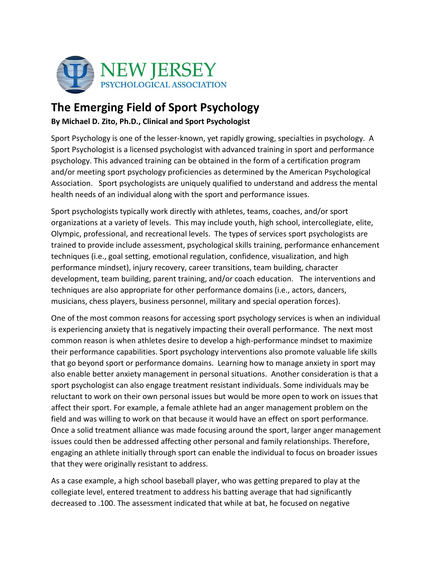

## **The Emerging Field of Sport Psychology**

**By Michael D. Zito, Ph.D., Clinical and Sport Psychologist** 

Sport Psychology is one of the lesser-known, yet rapidly growing, specialties in psychology. A Sport Psychologist is a licensed psychologist with advanced training in sport and performance psychology. This advanced training can be obtained in the form of a certification program and/or meeting sport psychology proficiencies as determined by the American Psychological Association. Sport psychologists are uniquely qualified to understand and address the mental health needs of an individual along with the sport and performance issues.

Sport psychologists typically work directly with athletes, teams, coaches, and/or sport organizations at a variety of levels. This may include youth, high school, intercollegiate, elite, Olympic, professional, and recreational levels. The types of services sport psychologists are trained to provide include assessment, psychological skills training, performance enhancement techniques (i.e., goal setting, emotional regulation, confidence, visualization, and high performance mindset), injury recovery, career transitions, team building, character development, team building, parent training, and/or coach education. The interventions and techniques are also appropriate for other performance domains (i.e., actors, dancers, musicians, chess players, business personnel, military and special operation forces).

One of the most common reasons for accessing sport psychology services is when an individual is experiencing anxiety that is negatively impacting their overall performance. The next most common reason is when athletes desire to develop a high-performance mindset to maximize their performance capabilities. Sport psychology interventions also promote valuable life skills that go beyond sport or performance domains. Learning how to manage anxiety in sport may also enable better anxiety management in personal situations. Another consideration is that a sport psychologist can also engage treatment resistant individuals. Some individuals may be reluctant to work on their own personal issues but would be more open to work on issues that affect their sport. For example, a female athlete had an anger management problem on the field and was willing to work on that because it would have an effect on sport performance. Once a solid treatment alliance was made focusing around the sport, larger anger management issues could then be addressed affecting other personal and family relationships. Therefore, engaging an athlete initially through sport can enable the individual to focus on broader issues that they were originally resistant to address.

As a case example, a high school baseball player, who was getting prepared to play at the collegiate level, entered treatment to address his batting average that had significantly decreased to .100. The assessment indicated that while at bat, he focused on negative